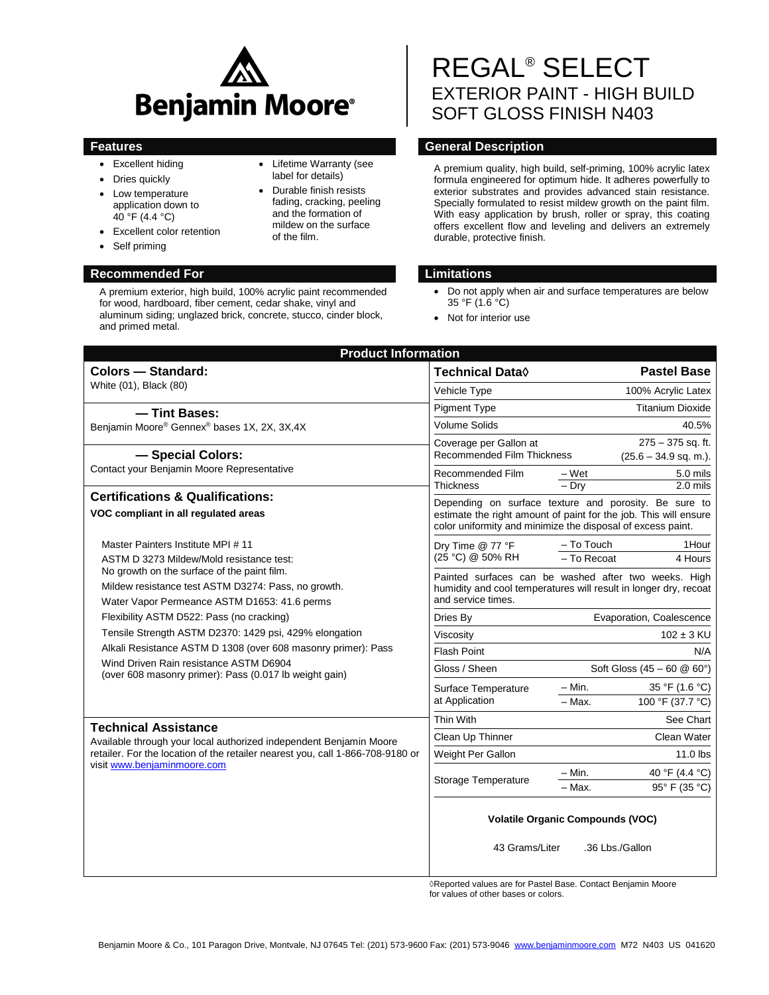

- Excellent hiding
- Dries quickly
- Low temperature application down to  $40^{\circ}$ F (4.4 °C)
- Excellent color retention
- Self priming

# **Recommended For Limitations**

A premium exterior, high build, 100% acrylic paint recommended for wood, hardboard, fiber cement, cedar shake, vinyl and aluminum siding; unglazed brick, concrete, stucco, cinder block, and primed metal.

- Lifetime Warranty (see label for details)
- Durable finish resists fading, cracking, peeling and the formation of mildew on the surface of the film.

# REGAL® SELECT EXTERIOR PAINT - HIGH BUILD SOFT GLOSS FINISH N403

# **Features General Description**

A premium quality, high build, self-priming, 100% acrylic latex formula engineered for optimum hide. It adheres powerfully to exterior substrates and provides advanced stain resistance. Specially formulated to resist mildew growth on the paint film. With easy application by brush, roller or spray, this coating offers excellent flow and leveling and delivers an extremely durable, protective finish.

- Do not apply when air and surface temperatures are below  $35 °F (1.6 °C)$
- Not for interior use

| <b>Product Information</b>                                                                                                                                                                                                                                                                                                                                                                                                                                                                                      |                                                                                                                                                                                          |                                                            |                                    |  |  |
|-----------------------------------------------------------------------------------------------------------------------------------------------------------------------------------------------------------------------------------------------------------------------------------------------------------------------------------------------------------------------------------------------------------------------------------------------------------------------------------------------------------------|------------------------------------------------------------------------------------------------------------------------------------------------------------------------------------------|------------------------------------------------------------|------------------------------------|--|--|
| <b>Colors - Standard:</b>                                                                                                                                                                                                                                                                                                                                                                                                                                                                                       | Technical Data $\Diamond$                                                                                                                                                                |                                                            | <b>Pastel Base</b>                 |  |  |
| White (01), Black (80)                                                                                                                                                                                                                                                                                                                                                                                                                                                                                          | Vehicle Type                                                                                                                                                                             |                                                            | 100% Acrylic Latex                 |  |  |
| - Tint Bases:                                                                                                                                                                                                                                                                                                                                                                                                                                                                                                   | <b>Pigment Type</b>                                                                                                                                                                      |                                                            | <b>Titanium Dioxide</b>            |  |  |
| Benjamin Moore® Gennex® bases 1X, 2X, 3X,4X<br>- Special Colors:<br>Contact your Benjamin Moore Representative                                                                                                                                                                                                                                                                                                                                                                                                  | <b>Volume Solids</b>                                                                                                                                                                     |                                                            | 40.5%                              |  |  |
|                                                                                                                                                                                                                                                                                                                                                                                                                                                                                                                 | $275 - 375$ sq. ft.<br>Coverage per Gallon at<br><b>Recommended Film Thickness</b><br>$(25.6 - 34.9$ sq. m.).<br>$-Wet$<br>5.0 mils<br>Recommended Film                                  |                                                            |                                    |  |  |
|                                                                                                                                                                                                                                                                                                                                                                                                                                                                                                                 | <b>Thickness</b>                                                                                                                                                                         | $-$ Dry                                                    | $2.0$ mils                         |  |  |
| <b>Certifications &amp; Qualifications:</b><br>VOC compliant in all regulated areas                                                                                                                                                                                                                                                                                                                                                                                                                             | Depending on surface texture and porosity. Be sure to<br>estimate the right amount of paint for the job. This will ensure<br>color uniformity and minimize the disposal of excess paint. |                                                            |                                    |  |  |
| Master Painters Institute MPI #11<br>ASTM D 3273 Mildew/Mold resistance test:<br>No growth on the surface of the paint film.<br>Mildew resistance test ASTM D3274: Pass, no growth.<br>Water Vapor Permeance ASTM D1653: 41.6 perms<br>Flexibility ASTM D522: Pass (no cracking)<br>Tensile Strength ASTM D2370: 1429 psi, 429% elongation<br>Alkali Resistance ASTM D 1308 (over 608 masonry primer): Pass<br>Wind Driven Rain resistance ASTM D6904<br>(over 608 masonry primer): Pass (0.017 lb weight gain) | Dry Time @ 77 °F<br>(25 °C) @ 50% RH                                                                                                                                                     | - To Touch<br>- To Recoat                                  | 1Hour<br>4 Hours                   |  |  |
|                                                                                                                                                                                                                                                                                                                                                                                                                                                                                                                 | Painted surfaces can be washed after two weeks. High<br>humidity and cool temperatures will result in longer dry, recoat<br>and service times.                                           |                                                            |                                    |  |  |
|                                                                                                                                                                                                                                                                                                                                                                                                                                                                                                                 | Dries By                                                                                                                                                                                 | Evaporation, Coalescence                                   |                                    |  |  |
|                                                                                                                                                                                                                                                                                                                                                                                                                                                                                                                 | Viscosity                                                                                                                                                                                | $102 \pm 3$ KU                                             |                                    |  |  |
|                                                                                                                                                                                                                                                                                                                                                                                                                                                                                                                 | Flash Point                                                                                                                                                                              | N/A                                                        |                                    |  |  |
|                                                                                                                                                                                                                                                                                                                                                                                                                                                                                                                 | Gloss / Sheen                                                                                                                                                                            | Soft Gloss $(45 - 60 \& 60^{\circ})$                       |                                    |  |  |
|                                                                                                                                                                                                                                                                                                                                                                                                                                                                                                                 | Surface Temperature<br>at Application                                                                                                                                                    | $-$ Min.<br>$-$ Max.                                       | 35 °F (1.6 °C)<br>100 °F (37.7 °C) |  |  |
| <b>Technical Assistance</b><br>Available through your local authorized independent Benjamin Moore<br>retailer. For the location of the retailer nearest you, call 1-866-708-9180 or<br>visit www.benjaminmoore.com                                                                                                                                                                                                                                                                                              | Thin With                                                                                                                                                                                |                                                            | See Chart                          |  |  |
|                                                                                                                                                                                                                                                                                                                                                                                                                                                                                                                 | Clean Up Thinner                                                                                                                                                                         | Clean Water                                                |                                    |  |  |
|                                                                                                                                                                                                                                                                                                                                                                                                                                                                                                                 | Weight Per Gallon                                                                                                                                                                        |                                                            | 11.0 lbs                           |  |  |
|                                                                                                                                                                                                                                                                                                                                                                                                                                                                                                                 | Storage Temperature                                                                                                                                                                      | – Min.<br>- Max.                                           | 40 °F (4.4 °C)<br>95° F (35 °C)    |  |  |
|                                                                                                                                                                                                                                                                                                                                                                                                                                                                                                                 | 43 Grams/Liter                                                                                                                                                                           | <b>Volatile Organic Compounds (VOC)</b><br>.36 Lbs./Gallon |                                    |  |  |

◊Reported values are for Pastel Base. Contact Benjamin Moore for values of other bases or colors.